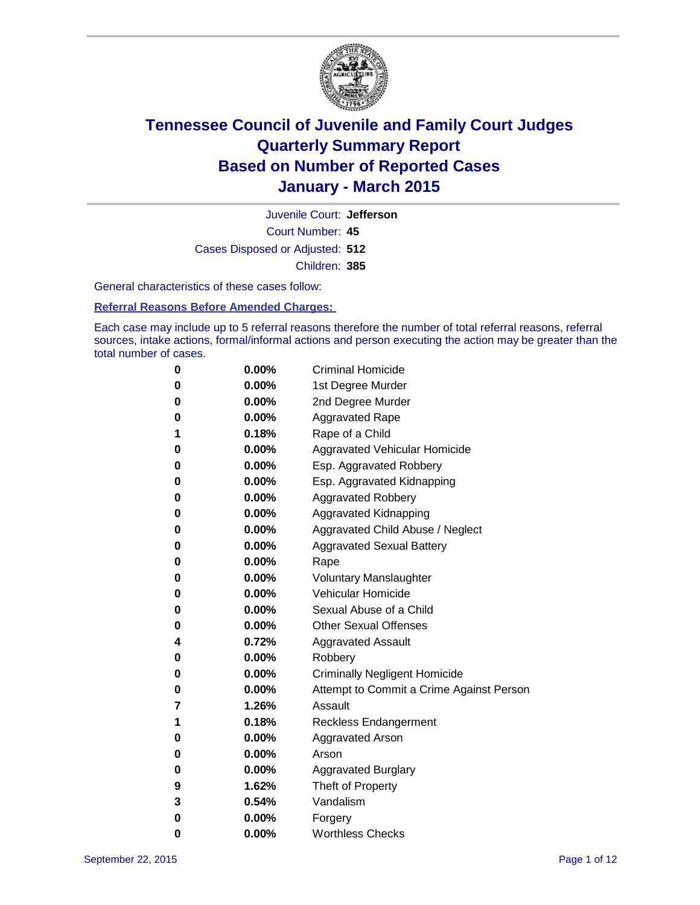

Court Number: **45** Juvenile Court: **Jefferson** Cases Disposed or Adjusted: **512** Children: **385**

General characteristics of these cases follow:

#### **Referral Reasons Before Amended Charges:**

Each case may include up to 5 referral reasons therefore the number of total referral reasons, referral sources, intake actions, formal/informal actions and person executing the action may be greater than the total number of cases.

| 0        | 0.00%    | <b>Criminal Homicide</b>                 |
|----------|----------|------------------------------------------|
| $\bf{0}$ | $0.00\%$ | 1st Degree Murder                        |
| $\bf{0}$ | $0.00\%$ | 2nd Degree Murder                        |
| 0        | $0.00\%$ | <b>Aggravated Rape</b>                   |
| 1        | 0.18%    | Rape of a Child                          |
| 0        | $0.00\%$ | Aggravated Vehicular Homicide            |
| 0        | 0.00%    | Esp. Aggravated Robbery                  |
| 0        | $0.00\%$ | Esp. Aggravated Kidnapping               |
| 0        | $0.00\%$ | <b>Aggravated Robbery</b>                |
| 0        | $0.00\%$ | Aggravated Kidnapping                    |
| 0        | $0.00\%$ | Aggravated Child Abuse / Neglect         |
| $\bf{0}$ | 0.00%    | <b>Aggravated Sexual Battery</b>         |
| $\bf{0}$ | $0.00\%$ | Rape                                     |
| 0        | $0.00\%$ | <b>Voluntary Manslaughter</b>            |
| 0        | $0.00\%$ | <b>Vehicular Homicide</b>                |
| 0        | $0.00\%$ | Sexual Abuse of a Child                  |
| $\bf{0}$ | $0.00\%$ | <b>Other Sexual Offenses</b>             |
| 4        | 0.72%    | <b>Aggravated Assault</b>                |
| 0        | $0.00\%$ | Robbery                                  |
| $\bf{0}$ | $0.00\%$ | <b>Criminally Negligent Homicide</b>     |
| $\bf{0}$ | $0.00\%$ | Attempt to Commit a Crime Against Person |
| 7        | 1.26%    | Assault                                  |
| 1        | 0.18%    | <b>Reckless Endangerment</b>             |
| 0        | $0.00\%$ | Aggravated Arson                         |
| $\bf{0}$ | $0.00\%$ | Arson                                    |
| $\bf{0}$ | $0.00\%$ | <b>Aggravated Burglary</b>               |
| 9        | 1.62%    | Theft of Property                        |
| 3        | 0.54%    | Vandalism                                |
| $\bf{0}$ | $0.00\%$ | Forgery                                  |
| 0        | 0.00%    | <b>Worthless Checks</b>                  |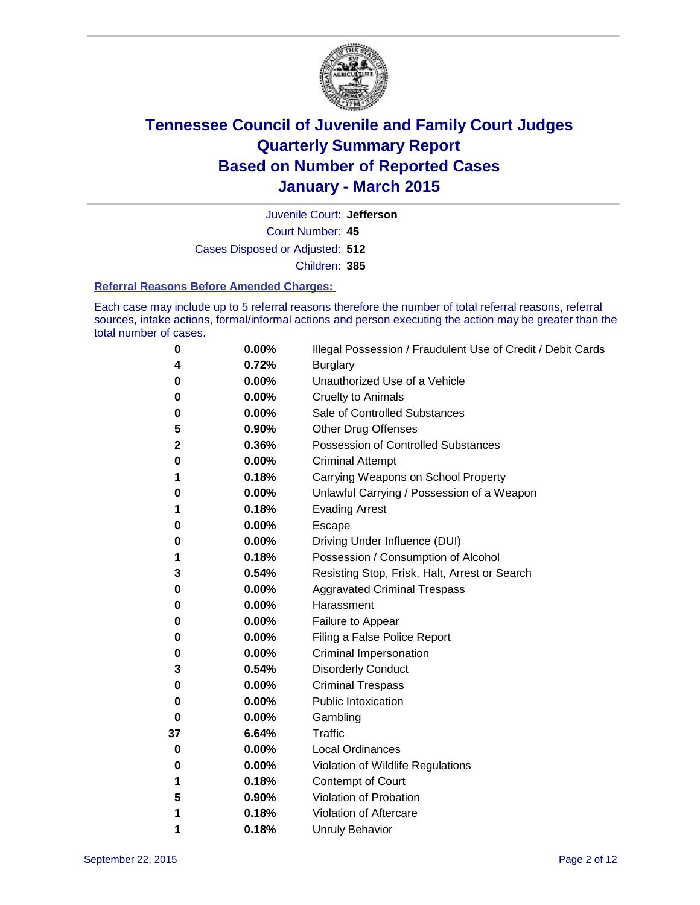

Court Number: **45** Juvenile Court: **Jefferson** Cases Disposed or Adjusted: **512** Children: **385**

#### **Referral Reasons Before Amended Charges:**

Each case may include up to 5 referral reasons therefore the number of total referral reasons, referral sources, intake actions, formal/informal actions and person executing the action may be greater than the total number of cases.

| 0  | 0.00% | Illegal Possession / Fraudulent Use of Credit / Debit Cards |
|----|-------|-------------------------------------------------------------|
| 4  | 0.72% | <b>Burglary</b>                                             |
| 0  | 0.00% | Unauthorized Use of a Vehicle                               |
| 0  | 0.00% | <b>Cruelty to Animals</b>                                   |
| 0  | 0.00% | Sale of Controlled Substances                               |
| 5  | 0.90% | <b>Other Drug Offenses</b>                                  |
| 2  | 0.36% | Possession of Controlled Substances                         |
| 0  | 0.00% | <b>Criminal Attempt</b>                                     |
| 1  | 0.18% | Carrying Weapons on School Property                         |
| 0  | 0.00% | Unlawful Carrying / Possession of a Weapon                  |
| 1  | 0.18% | <b>Evading Arrest</b>                                       |
| 0  | 0.00% | Escape                                                      |
| 0  | 0.00% | Driving Under Influence (DUI)                               |
| 1  | 0.18% | Possession / Consumption of Alcohol                         |
| 3  | 0.54% | Resisting Stop, Frisk, Halt, Arrest or Search               |
| 0  | 0.00% | <b>Aggravated Criminal Trespass</b>                         |
| 0  | 0.00% | Harassment                                                  |
| 0  | 0.00% | Failure to Appear                                           |
| 0  | 0.00% | Filing a False Police Report                                |
| 0  | 0.00% | Criminal Impersonation                                      |
| 3  | 0.54% | <b>Disorderly Conduct</b>                                   |
| 0  | 0.00% | <b>Criminal Trespass</b>                                    |
| 0  | 0.00% | Public Intoxication                                         |
| 0  | 0.00% | Gambling                                                    |
| 37 | 6.64% | Traffic                                                     |
| 0  | 0.00% | <b>Local Ordinances</b>                                     |
| 0  | 0.00% | Violation of Wildlife Regulations                           |
| 1  | 0.18% | Contempt of Court                                           |
| 5  | 0.90% | Violation of Probation                                      |
| 1  | 0.18% | Violation of Aftercare                                      |
| 1  | 0.18% | <b>Unruly Behavior</b>                                      |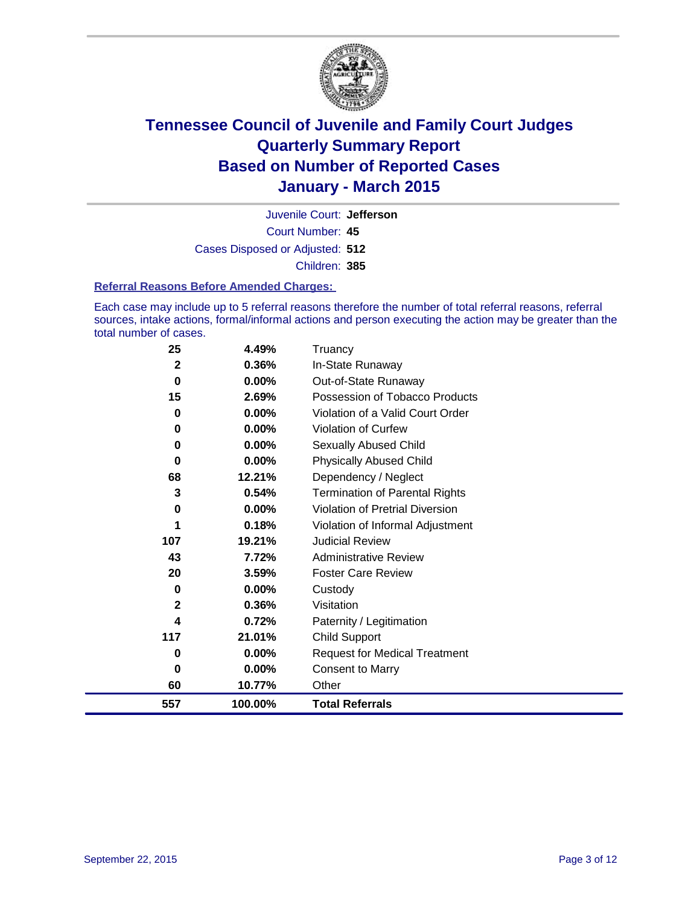

Court Number: **45** Juvenile Court: **Jefferson** Cases Disposed or Adjusted: **512** Children: **385**

#### **Referral Reasons Before Amended Charges:**

Each case may include up to 5 referral reasons therefore the number of total referral reasons, referral sources, intake actions, formal/informal actions and person executing the action may be greater than the total number of cases.

| 25           | 4.49%    | Truancy                                |
|--------------|----------|----------------------------------------|
| 2            | 0.36%    | In-State Runaway                       |
| $\bf{0}$     | 0.00%    | Out-of-State Runaway                   |
| 15           | 2.69%    | Possession of Tobacco Products         |
| 0            | 0.00%    | Violation of a Valid Court Order       |
| 0            | $0.00\%$ | <b>Violation of Curfew</b>             |
| 0            | 0.00%    | Sexually Abused Child                  |
| 0            | $0.00\%$ | <b>Physically Abused Child</b>         |
| 68           | 12.21%   | Dependency / Neglect                   |
| 3            | 0.54%    | <b>Termination of Parental Rights</b>  |
| 0            | 0.00%    | <b>Violation of Pretrial Diversion</b> |
|              | 0.18%    | Violation of Informal Adjustment       |
| 107          | 19.21%   | <b>Judicial Review</b>                 |
| 43           | 7.72%    | <b>Administrative Review</b>           |
| 20           | 3.59%    | <b>Foster Care Review</b>              |
| 0            | 0.00%    | Custody                                |
| $\mathbf{2}$ | 0.36%    | Visitation                             |
| 4            | 0.72%    | Paternity / Legitimation               |
| 117          | 21.01%   | <b>Child Support</b>                   |
| 0            | 0.00%    | <b>Request for Medical Treatment</b>   |
| $\bf{0}$     | 0.00%    | <b>Consent to Marry</b>                |
| 60           | 10.77%   | Other                                  |
| 557          | 100.00%  | <b>Total Referrals</b>                 |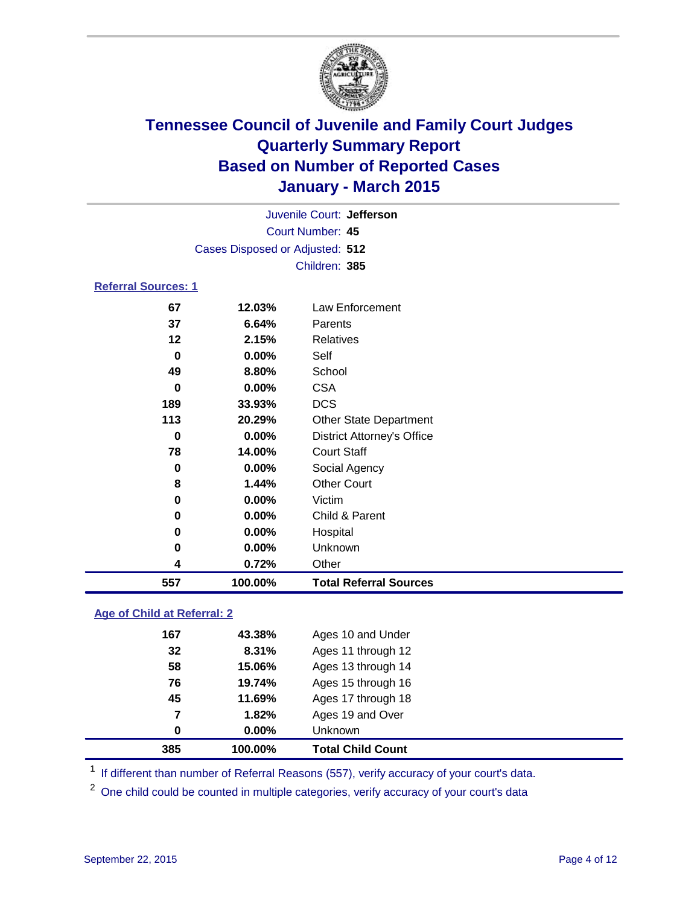

| Juvenile Court: Jefferson       |                                                                        |                                   |  |  |  |
|---------------------------------|------------------------------------------------------------------------|-----------------------------------|--|--|--|
| Court Number: 45                |                                                                        |                                   |  |  |  |
| Cases Disposed or Adjusted: 512 |                                                                        |                                   |  |  |  |
|                                 | Children: 385                                                          |                                   |  |  |  |
| <b>Referral Sources: 1</b>      |                                                                        |                                   |  |  |  |
| 67                              | 12.03%                                                                 | Law Enforcement                   |  |  |  |
| 37                              | 6.64%                                                                  | Parents                           |  |  |  |
| $12 \,$                         | 2.15%                                                                  | <b>Relatives</b>                  |  |  |  |
| 0                               | $0.00\%$                                                               | Self                              |  |  |  |
| 49                              | 8.80%                                                                  | School                            |  |  |  |
| 0                               | $0.00\%$                                                               | <b>CSA</b>                        |  |  |  |
| 189                             | <b>DCS</b><br>33.93%<br>113<br>20.29%<br><b>Other State Department</b> |                                   |  |  |  |
|                                 |                                                                        |                                   |  |  |  |
| 0                               | $0.00\%$                                                               | <b>District Attorney's Office</b> |  |  |  |
| 78                              | 14.00%                                                                 | <b>Court Staff</b>                |  |  |  |
| 0                               | $0.00\%$                                                               | Social Agency                     |  |  |  |

| 557 | 100.00%  | <b>Total Referral Sources</b> |  |
|-----|----------|-------------------------------|--|
| 4   | 0.72%    | Other                         |  |
| 0   | $0.00\%$ | <b>Unknown</b>                |  |
| 0   | $0.00\%$ | Hospital                      |  |
| 0   | $0.00\%$ | Child & Parent                |  |
| 0   | $0.00\%$ | Victim                        |  |
| 8   | 1.44%    | Other Court                   |  |

### **Age of Child at Referral: 2**

| 385 | 100.00% | <b>Total Child Count</b> |
|-----|---------|--------------------------|
| 0   | 0.00%   | <b>Unknown</b>           |
| 7   | 1.82%   | Ages 19 and Over         |
| 45  | 11.69%  | Ages 17 through 18       |
| 76  | 19.74%  | Ages 15 through 16       |
| 58  | 15.06%  | Ages 13 through 14       |
| 32  | 8.31%   | Ages 11 through 12       |
| 167 | 43.38%  | Ages 10 and Under        |

<sup>1</sup> If different than number of Referral Reasons (557), verify accuracy of your court's data.

One child could be counted in multiple categories, verify accuracy of your court's data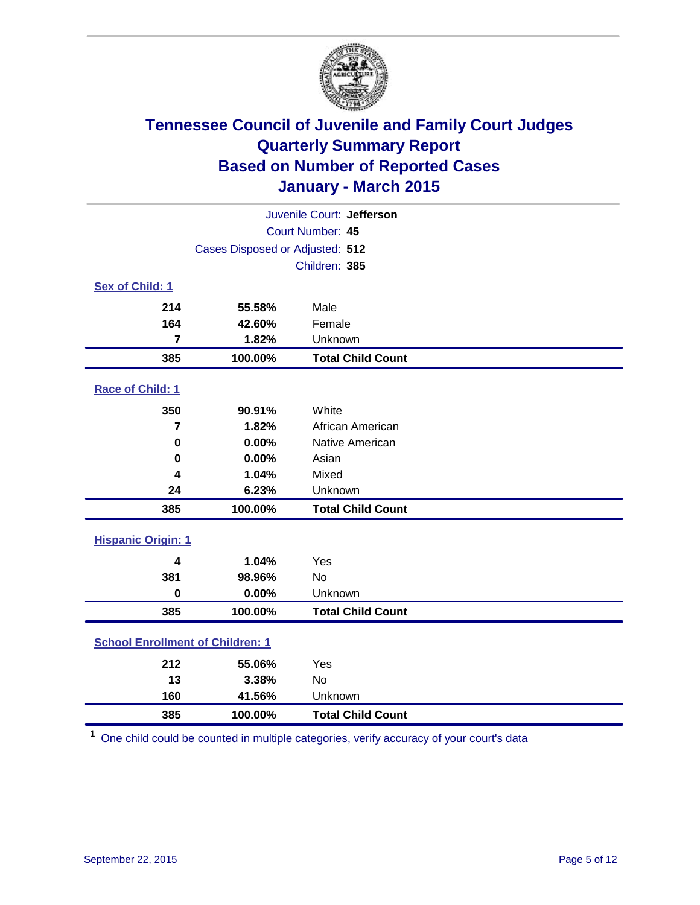

|                                         | Juvenile Court: Jefferson       |                          |  |  |  |
|-----------------------------------------|---------------------------------|--------------------------|--|--|--|
|                                         | Court Number: 45                |                          |  |  |  |
|                                         | Cases Disposed or Adjusted: 512 |                          |  |  |  |
|                                         |                                 | Children: 385            |  |  |  |
| Sex of Child: 1                         |                                 |                          |  |  |  |
| 214                                     | 55.58%                          | Male                     |  |  |  |
| 164                                     | 42.60%                          | Female                   |  |  |  |
| 7                                       | 1.82%                           | Unknown                  |  |  |  |
| 385                                     | 100.00%                         | <b>Total Child Count</b> |  |  |  |
| Race of Child: 1                        |                                 |                          |  |  |  |
| 350                                     | 90.91%                          | White                    |  |  |  |
| 7                                       | 1.82%                           | African American         |  |  |  |
| $\mathbf 0$                             | 0.00%                           | Native American          |  |  |  |
| $\bf{0}$                                | 0.00%                           | Asian                    |  |  |  |
| 4                                       | 1.04%                           | Mixed                    |  |  |  |
| 24                                      | 6.23%                           | Unknown                  |  |  |  |
| 385                                     | 100.00%                         | <b>Total Child Count</b> |  |  |  |
| <b>Hispanic Origin: 1</b>               |                                 |                          |  |  |  |
| 4                                       | 1.04%                           | Yes                      |  |  |  |
| 381                                     | 98.96%                          | <b>No</b>                |  |  |  |
| $\bf{0}$                                | 0.00%                           | Unknown                  |  |  |  |
| 385                                     | 100.00%                         | <b>Total Child Count</b> |  |  |  |
| <b>School Enrollment of Children: 1</b> |                                 |                          |  |  |  |
| 212                                     | 55.06%                          | Yes                      |  |  |  |
| 13                                      | 3.38%                           | No                       |  |  |  |
| 160                                     | 41.56%                          | Unknown                  |  |  |  |
| 385                                     | 100.00%                         | <b>Total Child Count</b> |  |  |  |

One child could be counted in multiple categories, verify accuracy of your court's data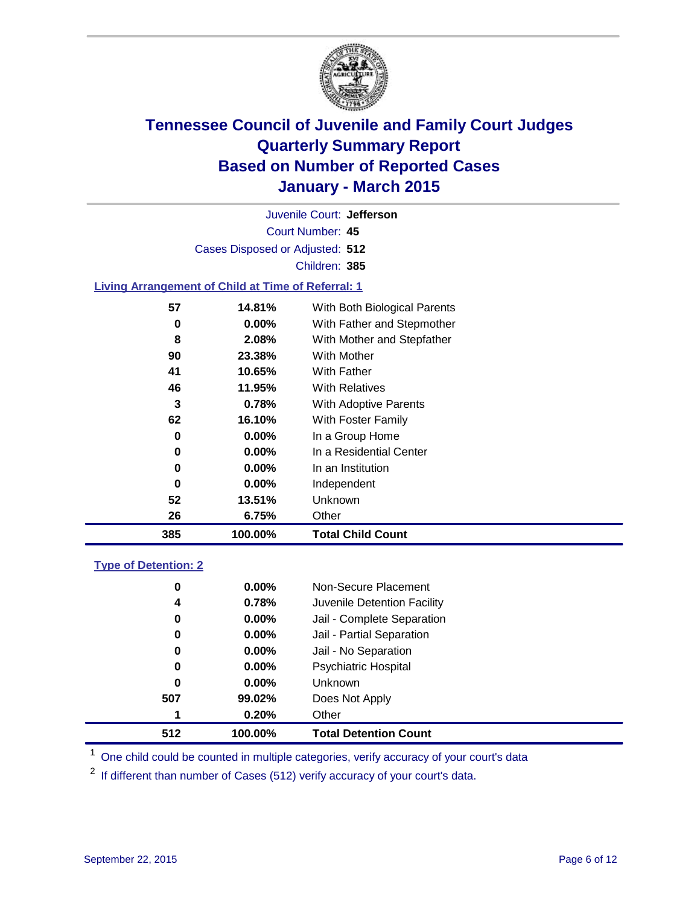

Court Number: **45** Juvenile Court: **Jefferson** Cases Disposed or Adjusted: **512** Children: **385**

### **Living Arrangement of Child at Time of Referral: 1**

| 385 | 100.00%  | <b>Total Child Count</b>     |
|-----|----------|------------------------------|
| 26  | 6.75%    | Other                        |
| 52  | 13.51%   | <b>Unknown</b>               |
| 0   | $0.00\%$ | Independent                  |
| 0   | $0.00\%$ | In an Institution            |
| 0   | $0.00\%$ | In a Residential Center      |
| 0   | $0.00\%$ | In a Group Home              |
| 62  | 16.10%   | With Foster Family           |
| 3   | 0.78%    | With Adoptive Parents        |
| 46  | 11.95%   | <b>With Relatives</b>        |
| 41  | 10.65%   | <b>With Father</b>           |
| 90  | 23.38%   | With Mother                  |
| 8   | 2.08%    | With Mother and Stepfather   |
| 0   | $0.00\%$ | With Father and Stepmother   |
| 57  | 14.81%   | With Both Biological Parents |
|     |          |                              |

#### **Type of Detention: 2**

| 0   | 0.00%    | Non-Secure Placement         |  |
|-----|----------|------------------------------|--|
| 4   | 0.78%    | Juvenile Detention Facility  |  |
| 0   | 0.00%    | Jail - Complete Separation   |  |
| 0   | 0.00%    | Jail - Partial Separation    |  |
| 0   | $0.00\%$ | Jail - No Separation         |  |
| 0   | $0.00\%$ | <b>Psychiatric Hospital</b>  |  |
| 0   | $0.00\%$ | <b>Unknown</b>               |  |
| 507 | 99.02%   | Does Not Apply               |  |
| 1   | 0.20%    | Other                        |  |
| 512 | 100.00%  | <b>Total Detention Count</b> |  |

<sup>1</sup> One child could be counted in multiple categories, verify accuracy of your court's data

If different than number of Cases (512) verify accuracy of your court's data.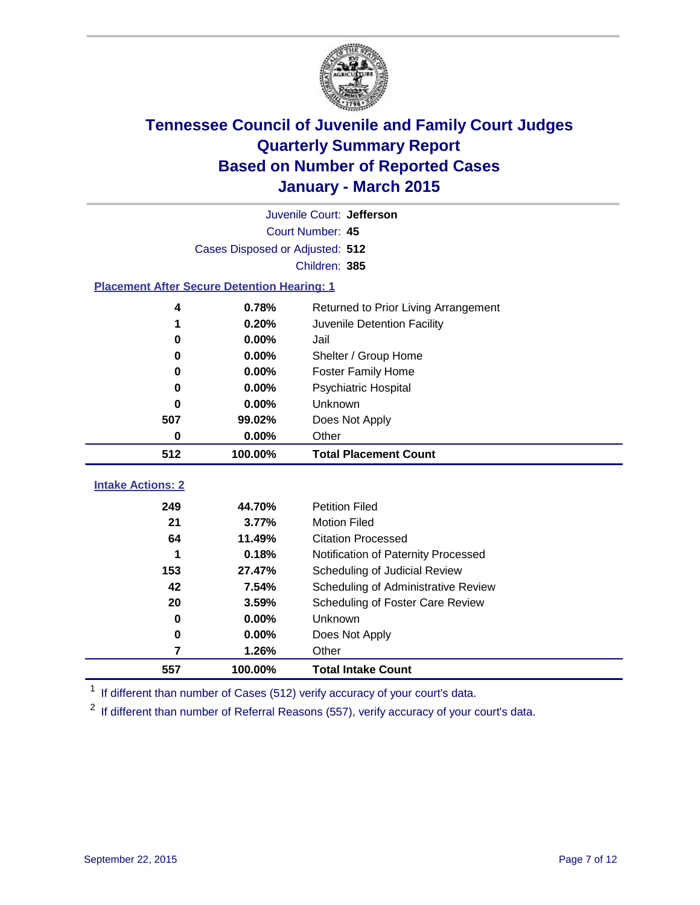

|                                                    | Juvenile Court: Jefferson       |                                      |  |  |  |
|----------------------------------------------------|---------------------------------|--------------------------------------|--|--|--|
|                                                    | Court Number: 45                |                                      |  |  |  |
|                                                    | Cases Disposed or Adjusted: 512 |                                      |  |  |  |
|                                                    |                                 | Children: 385                        |  |  |  |
| <b>Placement After Secure Detention Hearing: 1</b> |                                 |                                      |  |  |  |
| 4                                                  | 0.78%                           | Returned to Prior Living Arrangement |  |  |  |
| 1                                                  | 0.20%                           | Juvenile Detention Facility          |  |  |  |
| 0                                                  | 0.00%                           | Jail                                 |  |  |  |
| 0                                                  | 0.00%                           | Shelter / Group Home                 |  |  |  |
| 0                                                  | 0.00%                           | <b>Foster Family Home</b>            |  |  |  |
| 0                                                  | 0.00%                           | <b>Psychiatric Hospital</b>          |  |  |  |
| 0                                                  | 0.00%                           | Unknown                              |  |  |  |
| 507                                                | 99.02%                          | Does Not Apply                       |  |  |  |
| 0                                                  | 0.00%                           | Other                                |  |  |  |
| 512                                                | 100.00%                         | <b>Total Placement Count</b>         |  |  |  |
| <b>Intake Actions: 2</b>                           |                                 |                                      |  |  |  |
|                                                    |                                 |                                      |  |  |  |
| 249                                                | 44.70%                          | <b>Petition Filed</b>                |  |  |  |
| 21                                                 | 3.77%                           | <b>Motion Filed</b>                  |  |  |  |
| 64                                                 | 11.49%                          | <b>Citation Processed</b>            |  |  |  |
| 1                                                  | 0.18%                           | Notification of Paternity Processed  |  |  |  |
| 153                                                | 27.47%                          | Scheduling of Judicial Review        |  |  |  |
| 42                                                 | 7.54%                           | Scheduling of Administrative Review  |  |  |  |
| 20                                                 | 3.59%                           | Scheduling of Foster Care Review     |  |  |  |
| 0                                                  | 0.00%                           | <b>Unknown</b>                       |  |  |  |
| 0                                                  | 0.00%                           | Does Not Apply                       |  |  |  |
| 7                                                  | 1.26%                           | Other                                |  |  |  |
| 557                                                | 100.00%                         | <b>Total Intake Count</b>            |  |  |  |

<sup>1</sup> If different than number of Cases (512) verify accuracy of your court's data.

If different than number of Referral Reasons (557), verify accuracy of your court's data.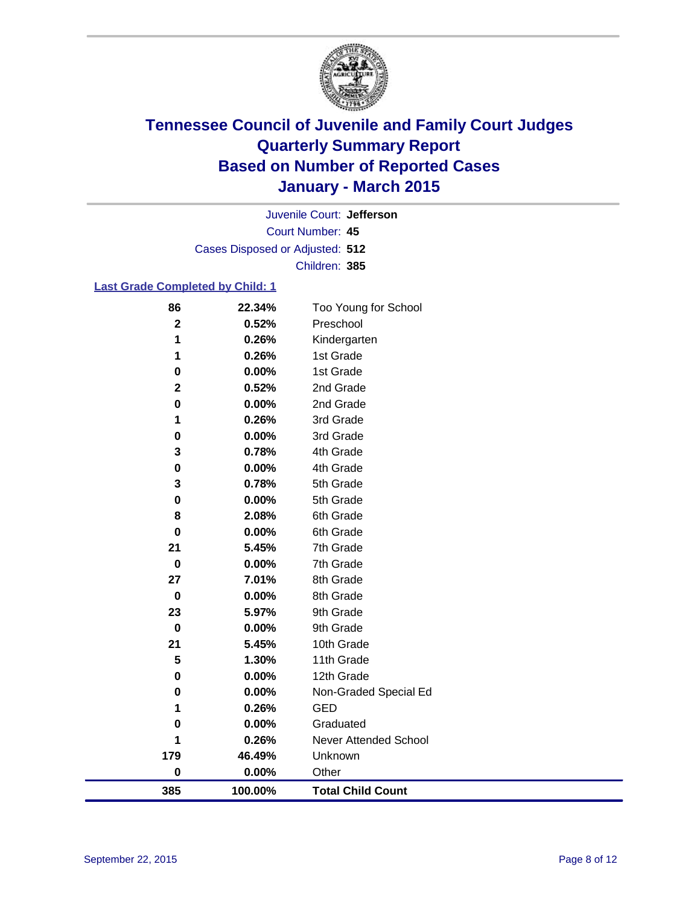

Court Number: **45** Juvenile Court: **Jefferson** Cases Disposed or Adjusted: **512** Children: **385**

### **Last Grade Completed by Child: 1**

| 86          | 22.34%  | Too Young for School         |
|-------------|---------|------------------------------|
| $\mathbf 2$ | 0.52%   | Preschool                    |
| 1           | 0.26%   | Kindergarten                 |
| 1           | 0.26%   | 1st Grade                    |
| 0           | 0.00%   | 1st Grade                    |
| 2           | 0.52%   | 2nd Grade                    |
| 0           | 0.00%   | 2nd Grade                    |
| 1           | 0.26%   | 3rd Grade                    |
| 0           | 0.00%   | 3rd Grade                    |
| 3           | 0.78%   | 4th Grade                    |
| 0           | 0.00%   | 4th Grade                    |
| 3           | 0.78%   | 5th Grade                    |
| $\mathbf 0$ | 0.00%   | 5th Grade                    |
| 8           | 2.08%   | 6th Grade                    |
| $\mathbf 0$ | 0.00%   | 6th Grade                    |
| 21          | 5.45%   | 7th Grade                    |
| $\bf{0}$    | 0.00%   | 7th Grade                    |
| 27          | 7.01%   | 8th Grade                    |
| $\mathbf 0$ | 0.00%   | 8th Grade                    |
| 23          | 5.97%   | 9th Grade                    |
| 0           | 0.00%   | 9th Grade                    |
| 21          | 5.45%   | 10th Grade                   |
| 5           | 1.30%   | 11th Grade                   |
| 0           | 0.00%   | 12th Grade                   |
| 0           | 0.00%   | Non-Graded Special Ed        |
| 1           | 0.26%   | <b>GED</b>                   |
| 0           | 0.00%   | Graduated                    |
| 1           | 0.26%   | <b>Never Attended School</b> |
| 179         | 46.49%  | Unknown                      |
| $\pmb{0}$   | 0.00%   | Other                        |
| 385         | 100.00% | <b>Total Child Count</b>     |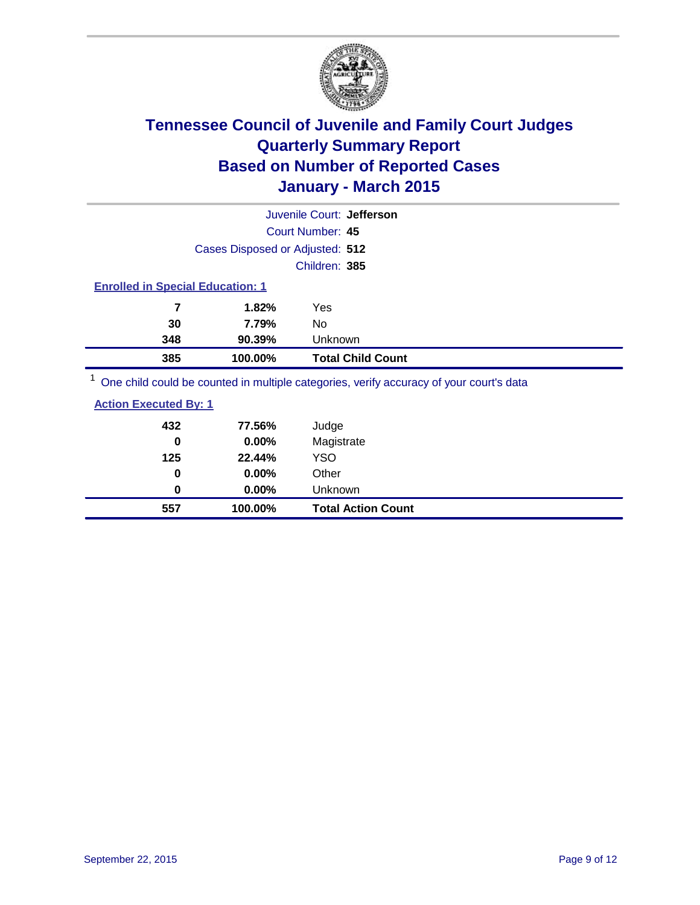

|                                                                                         |                                 | Juvenile Court: Jefferson |  |
|-----------------------------------------------------------------------------------------|---------------------------------|---------------------------|--|
|                                                                                         |                                 | Court Number: 45          |  |
|                                                                                         | Cases Disposed or Adjusted: 512 |                           |  |
|                                                                                         |                                 | Children: 385             |  |
| <b>Enrolled in Special Education: 1</b>                                                 |                                 |                           |  |
| 7                                                                                       | 1.82%                           | Yes                       |  |
| 30                                                                                      | 7.79%                           | No                        |  |
| 348                                                                                     | 90.39%                          | Unknown                   |  |
| 385                                                                                     | 100.00%                         | <b>Total Child Count</b>  |  |
| One child could be counted in multiple categories, verify accuracy of your court's data |                                 |                           |  |

| 0.00%<br>0.00% | Other<br><b>Unknown</b> |
|----------------|-------------------------|
|                |                         |
|                |                         |
| 22.44%         | <b>YSO</b>              |
| 0.00%          | Magistrate              |
| 77.56%         | Judge                   |
|                |                         |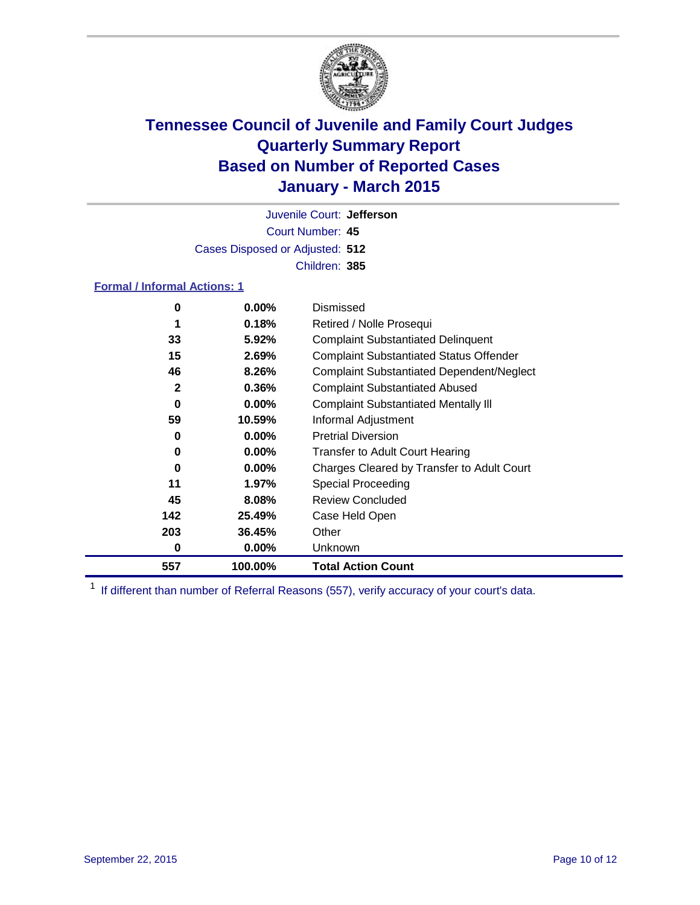

Court Number: **45** Juvenile Court: **Jefferson** Cases Disposed or Adjusted: **512** Children: **385**

### **Formal / Informal Actions: 1**

| 0   | $0.00\%$ | Dismissed                                        |
|-----|----------|--------------------------------------------------|
|     | 0.18%    | Retired / Nolle Prosequi                         |
| 33  | $5.92\%$ | <b>Complaint Substantiated Delinquent</b>        |
| 15  | 2.69%    | <b>Complaint Substantiated Status Offender</b>   |
| 46  | 8.26%    | <b>Complaint Substantiated Dependent/Neglect</b> |
| 2   | 0.36%    | <b>Complaint Substantiated Abused</b>            |
| 0   | $0.00\%$ | <b>Complaint Substantiated Mentally III</b>      |
| 59  | 10.59%   | Informal Adjustment                              |
| 0   | $0.00\%$ | <b>Pretrial Diversion</b>                        |
| 0   | $0.00\%$ | <b>Transfer to Adult Court Hearing</b>           |
| 0   | 0.00%    | Charges Cleared by Transfer to Adult Court       |
| 11  | 1.97%    | <b>Special Proceeding</b>                        |
| 45  | 8.08%    | <b>Review Concluded</b>                          |
| 142 | 25.49%   | Case Held Open                                   |
| 203 | 36.45%   | Other                                            |
| 0   | $0.00\%$ | Unknown                                          |
| 557 | 100.00%  | <b>Total Action Count</b>                        |

<sup>1</sup> If different than number of Referral Reasons (557), verify accuracy of your court's data.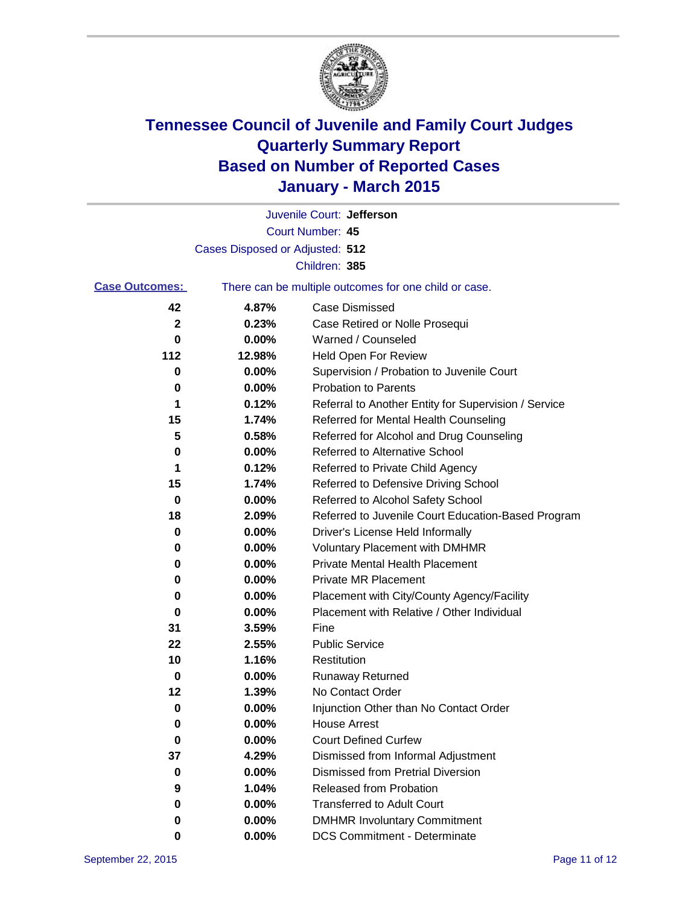

|                       |                                 | Juvenile Court: Jefferson                             |
|-----------------------|---------------------------------|-------------------------------------------------------|
|                       |                                 | Court Number: 45                                      |
|                       | Cases Disposed or Adjusted: 512 |                                                       |
|                       |                                 | Children: 385                                         |
| <b>Case Outcomes:</b> |                                 | There can be multiple outcomes for one child or case. |
| 42                    | 4.87%                           | <b>Case Dismissed</b>                                 |
| $\mathbf{2}$          | 0.23%                           | Case Retired or Nolle Prosequi                        |
| 0                     | 0.00%                           | Warned / Counseled                                    |
| 112                   | 12.98%                          | Held Open For Review                                  |
| 0                     | 0.00%                           | Supervision / Probation to Juvenile Court             |
| 0                     | 0.00%                           | <b>Probation to Parents</b>                           |
| 1                     | 0.12%                           | Referral to Another Entity for Supervision / Service  |
| 15                    | 1.74%                           | Referred for Mental Health Counseling                 |
| 5                     | 0.58%                           | Referred for Alcohol and Drug Counseling              |
| 0                     | 0.00%                           | <b>Referred to Alternative School</b>                 |
| 1                     | 0.12%                           | Referred to Private Child Agency                      |
| 15                    | 1.74%                           | Referred to Defensive Driving School                  |
| 0                     | 0.00%                           | Referred to Alcohol Safety School                     |
| 18                    | 2.09%                           | Referred to Juvenile Court Education-Based Program    |
| 0                     | 0.00%                           | Driver's License Held Informally                      |
| 0                     | 0.00%                           | <b>Voluntary Placement with DMHMR</b>                 |
| 0                     | 0.00%                           | <b>Private Mental Health Placement</b>                |
| 0                     | 0.00%                           | <b>Private MR Placement</b>                           |
| 0                     | 0.00%                           | Placement with City/County Agency/Facility            |
| 0                     | 0.00%                           | Placement with Relative / Other Individual            |
| 31                    | 3.59%                           | Fine                                                  |
| 22                    | 2.55%                           | <b>Public Service</b>                                 |
| 10                    | 1.16%                           | Restitution                                           |
| 0                     | 0.00%                           | <b>Runaway Returned</b>                               |
| 12                    | 1.39%                           | No Contact Order                                      |
| 0                     | 0.00%                           | Injunction Other than No Contact Order                |
| 0                     | 0.00%                           | <b>House Arrest</b>                                   |
| $\bf{0}$              | 0.00%                           | <b>Court Defined Curfew</b>                           |
| 37                    | 4.29%                           | Dismissed from Informal Adjustment                    |
| 0                     | 0.00%                           | <b>Dismissed from Pretrial Diversion</b>              |
| 9                     | 1.04%                           | Released from Probation                               |
| 0                     | 0.00%                           | <b>Transferred to Adult Court</b>                     |
| 0                     | 0.00%                           | <b>DMHMR Involuntary Commitment</b>                   |
| 0                     | $0.00\%$                        | <b>DCS Commitment - Determinate</b>                   |